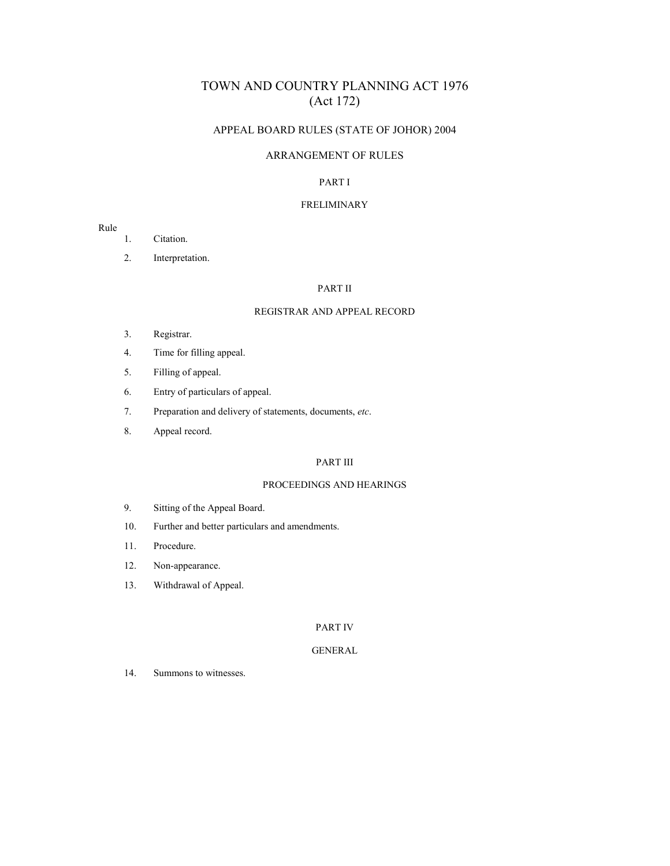# TOWN AND COUNTRY PLANNING ACT 1976 (Act 172)

## APPEAL BOARD RULES (STATE OF JOHOR) 2004

### ARRANGEMENT OF RULES

### PART I

### FRELIMINARY

### Rule

- 1. Citation.
- 2. Interpretation.

### PART II

#### REGISTRAR AND APPEAL RECORD

- 3. Registrar.
- 4. Time for filling appeal.
- 5. Filling of appeal.
- 6. Entry of particulars of appeal.
- 7. Preparation and delivery of statements, documents, *etc*.
- 8. Appeal record.

### PART III

### PROCEEDINGS AND HEARINGS

- 9. Sitting of the Appeal Board.
- 10. Further and better particulars and amendments.
- 11. Procedure.
- 12. Non-appearance.
- 13. Withdrawal of Appeal.

### PART IV

## GENERAL

14. Summons to witnesses.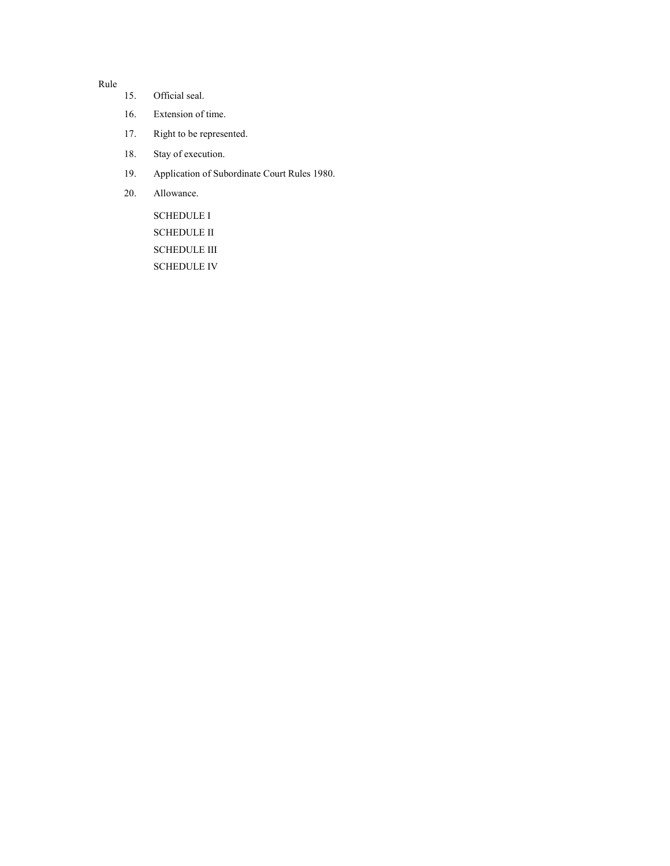Rule

- 15. Official seal.
- 16. Extension of time.
- 17. Right to be represented.
- 18. Stay of execution.
- 19. Application of Subordinate Court Rules 1980.
- 20. Allowance.

SCHEDULE I SCHEDULE II SCHEDULE III SCHEDULE IV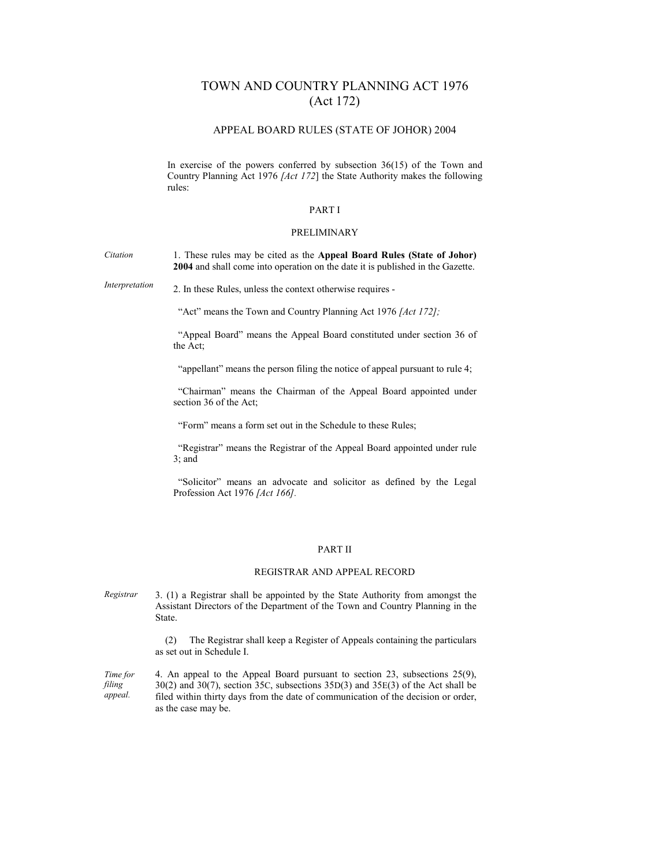# TOWN AND COUNTRY PLANNING ACT 1976 (Act 172)

#### APPEAL BOARD RULES (STATE OF JOHOR) 2004

In exercise of the powers conferred by subsection  $36(15)$  of the Town and Country Planning Act 1976 *[Act 172*] the State Authority makes the following rules:

#### PART I

#### PRELIMINARY

*Citation*  1. These rules may be cited as the **Appeal Board Rules (State of Johor) 2004** and shall come into operation on the date it is published in the Gazette.

*Interpretation* 2. In these Rules, unless the context otherwise requires -

"Act" means the Town and Country Planning Act 1976 *[Act 172];*

 "Appeal Board" means the Appeal Board constituted under section 36 of the Act;

"appellant" means the person filing the notice of appeal pursuant to rule 4;

 "Chairman" means the Chairman of the Appeal Board appointed under section 36 of the Act;

"Form" means a form set out in the Schedule to these Rules;

 "Registrar" means the Registrar of the Appeal Board appointed under rule 3; and

 "Solicitor" means an advocate and solicitor as defined by the Legal Profession Act 1976 *[Act 166].*

#### PART II

### REGISTRAR AND APPEAL RECORD

*Registrar*  3. (1) a Registrar shall be appointed by the State Authority from amongst the Assistant Directors of the Department of the Town and Country Planning in the State.

> (2) The Registrar shall keep a Register of Appeals containing the particulars as set out in Schedule I.

*Time for filing appeal.* 4. An appeal to the Appeal Board pursuant to section 23, subsections 25(9), 30(2) and 30(7), section 35C, subsections 35D(3) and 35E(3) of the Act shall be filed within thirty days from the date of communication of the decision or order, as the case may be.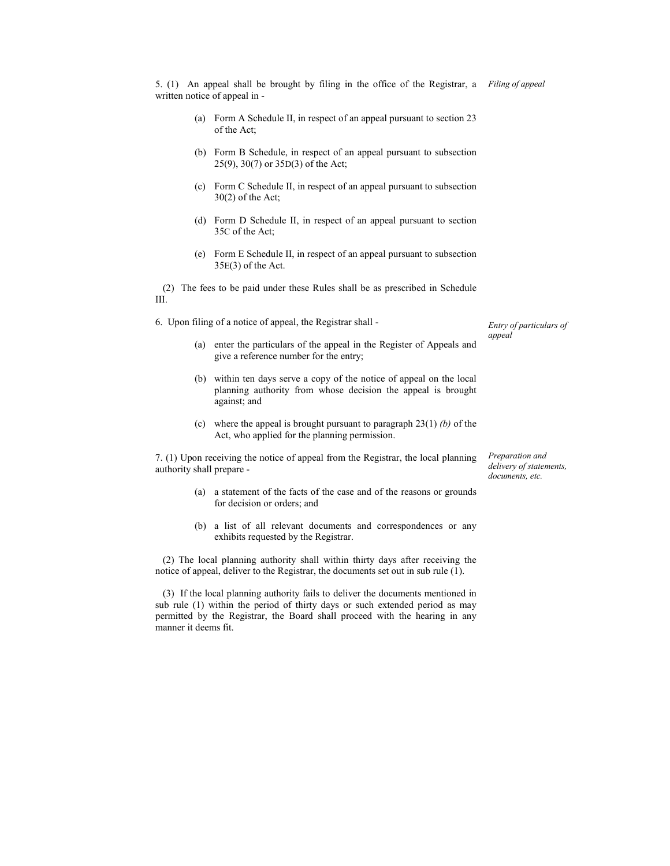- (a) Form A Schedule II, in respect of an appeal pursuant to section 23 of the Act;
- (b) Form B Schedule, in respect of an appeal pursuant to subsection 25(9), 30(7) or 35D(3) of the Act;
- (c) Form C Schedule II, in respect of an appeal pursuant to subsection 30(2) of the Act;
- (d) Form D Schedule II, in respect of an appeal pursuant to section 35C of the Act;
- (e) Form E Schedule II, in respect of an appeal pursuant to subsection 35E(3) of the Act.

 (2) The fees to be paid under these Rules shall be as prescribed in Schedule III.

6. Upon filing of a notice of appeal, the Registrar shall -

- (a) enter the particulars of the appeal in the Register of Appeals and give a reference number for the entry;
- (b) within ten days serve a copy of the notice of appeal on the local planning authority from whose decision the appeal is brought against; and
- (c) where the appeal is brought pursuant to paragraph 23(1) *(b)* of the Act, who applied for the planning permission.

7. (1) Upon receiving the notice of appeal from the Registrar, the local planning authority shall prepare -

*Preparation and delivery of statements, documents, etc.*

*Entry of particulars of* 

*appeal* 

- (a) a statement of the facts of the case and of the reasons or grounds for decision or orders; and
- (b) a list of all relevant documents and correspondences or any exhibits requested by the Registrar.

 (2) The local planning authority shall within thirty days after receiving the notice of appeal, deliver to the Registrar, the documents set out in sub rule (1).

 (3) If the local planning authority fails to deliver the documents mentioned in sub rule (1) within the period of thirty days or such extended period as may permitted by the Registrar, the Board shall proceed with the hearing in any manner it deems fit.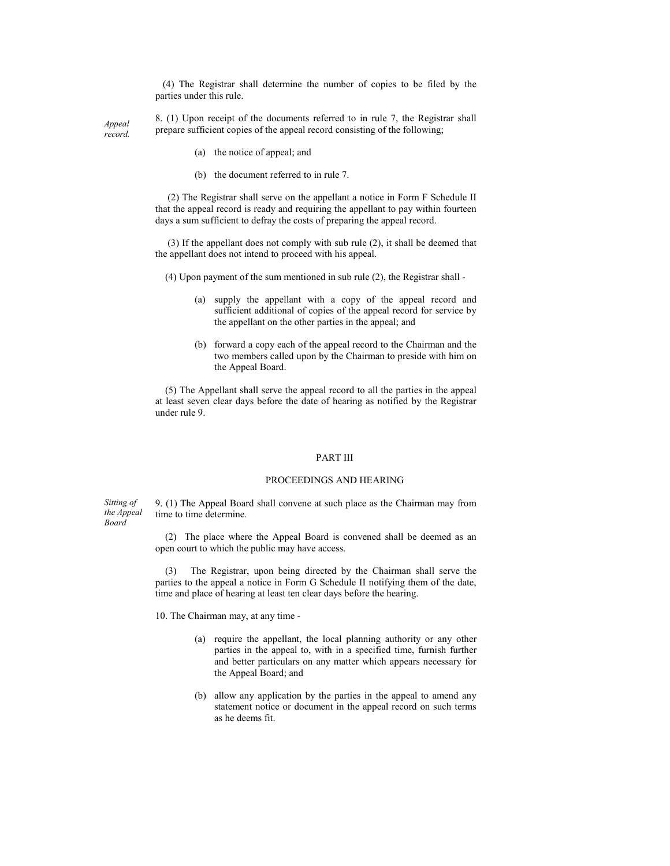(4) The Registrar shall determine the number of copies to be filed by the parties under this rule.

*Appeal record.*  8. (1) Upon receipt of the documents referred to in rule 7, the Registrar shall prepare sufficient copies of the appeal record consisting of the following;

- (a) the notice of appeal; and
- (b) the document referred to in rule 7.

 (2) The Registrar shall serve on the appellant a notice in Form F Schedule II that the appeal record is ready and requiring the appellant to pay within fourteen days a sum sufficient to defray the costs of preparing the appeal record.

 (3) If the appellant does not comply with sub rule (2), it shall be deemed that the appellant does not intend to proceed with his appeal.

(4) Upon payment of the sum mentioned in sub rule (2), the Registrar shall -

- (a) supply the appellant with a copy of the appeal record and sufficient additional of copies of the appeal record for service by the appellant on the other parties in the appeal; and
- (b) forward a copy each of the appeal record to the Chairman and the two members called upon by the Chairman to preside with him on the Appeal Board.

 (5) The Appellant shall serve the appeal record to all the parties in the appeal at least seven clear days before the date of hearing as notified by the Registrar under rule 9.

#### PART III

### PROCEEDINGS AND HEARING

*Sitting of the Appeal Board*  9. (1) The Appeal Board shall convene at such place as the Chairman may from time to time determine.

> (2) The place where the Appeal Board is convened shall be deemed as an open court to which the public may have access.

> (3) The Registrar, upon being directed by the Chairman shall serve the parties to the appeal a notice in Form G Schedule II notifying them of the date, time and place of hearing at least ten clear days before the hearing.

10. The Chairman may, at any time -

- (a) require the appellant, the local planning authority or any other parties in the appeal to, with in a specified time, furnish further and better particulars on any matter which appears necessary for the Appeal Board; and
- (b) allow any application by the parties in the appeal to amend any statement notice or document in the appeal record on such terms as he deems fit.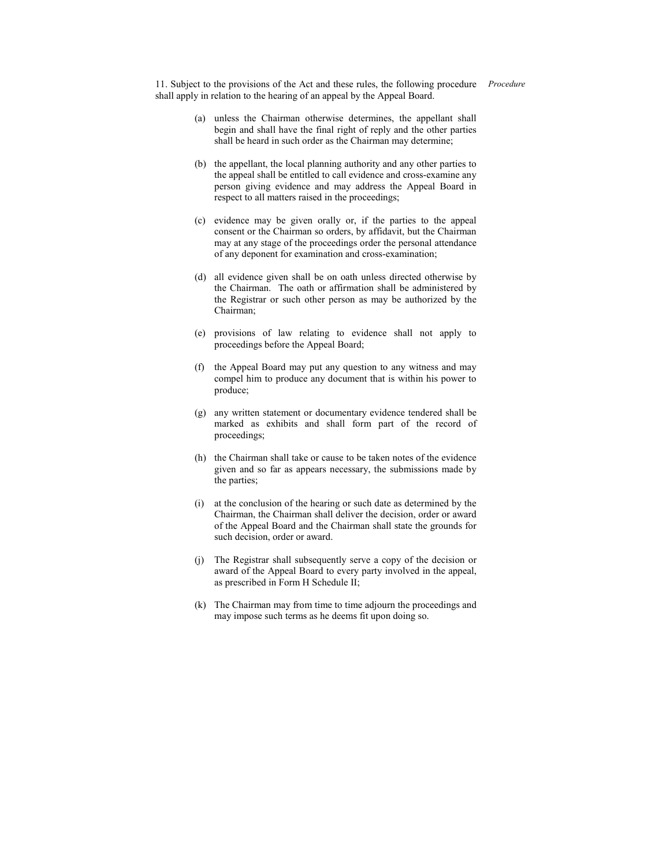11. Subject to the provisions of the Act and these rules, the following procedure *Procedure*shall apply in relation to the hearing of an appeal by the Appeal Board.

- (a) unless the Chairman otherwise determines, the appellant shall begin and shall have the final right of reply and the other parties shall be heard in such order as the Chairman may determine;
- (b) the appellant, the local planning authority and any other parties to the appeal shall be entitled to call evidence and cross-examine any person giving evidence and may address the Appeal Board in respect to all matters raised in the proceedings;
- (c) evidence may be given orally or, if the parties to the appeal consent or the Chairman so orders, by affidavit, but the Chairman may at any stage of the proceedings order the personal attendance of any deponent for examination and cross-examination;
- (d) all evidence given shall be on oath unless directed otherwise by the Chairman. The oath or affirmation shall be administered by the Registrar or such other person as may be authorized by the Chairman;
- (e) provisions of law relating to evidence shall not apply to proceedings before the Appeal Board;
- (f) the Appeal Board may put any question to any witness and may compel him to produce any document that is within his power to produce;
- (g) any written statement or documentary evidence tendered shall be marked as exhibits and shall form part of the record of proceedings;
- (h) the Chairman shall take or cause to be taken notes of the evidence given and so far as appears necessary, the submissions made by the parties;
- (i) at the conclusion of the hearing or such date as determined by the Chairman, the Chairman shall deliver the decision, order or award of the Appeal Board and the Chairman shall state the grounds for such decision, order or award.
- (j) The Registrar shall subsequently serve a copy of the decision or award of the Appeal Board to every party involved in the appeal, as prescribed in Form H Schedule II;
- (k) The Chairman may from time to time adjourn the proceedings and may impose such terms as he deems fit upon doing so.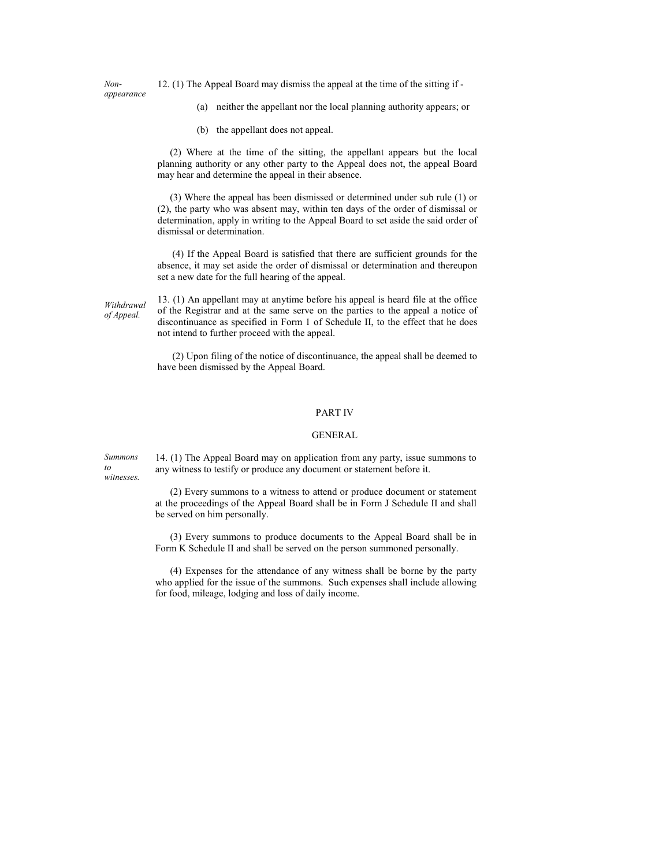*Nonappearance*  12. (1) The Appeal Board may dismiss the appeal at the time of the sitting if -

- (a) neither the appellant nor the local planning authority appears; or
- (b) the appellant does not appeal.

 (2) Where at the time of the sitting, the appellant appears but the local planning authority or any other party to the Appeal does not, the appeal Board may hear and determine the appeal in their absence.

 (3) Where the appeal has been dismissed or determined under sub rule (1) or (2), the party who was absent may, within ten days of the order of dismissal or determination, apply in writing to the Appeal Board to set aside the said order of dismissal or determination.

 (4) If the Appeal Board is satisfied that there are sufficient grounds for the absence, it may set aside the order of dismissal or determination and thereupon set a new date for the full hearing of the appeal.

*Withdrawal of Appeal.*

13. (1) An appellant may at anytime before his appeal is heard file at the office of the Registrar and at the same serve on the parties to the appeal a notice of discontinuance as specified in Form 1 of Schedule II, to the effect that he does not intend to further proceed with the appeal.

 (2) Upon filing of the notice of discontinuance, the appeal shall be deemed to have been dismissed by the Appeal Board.

#### PART IV

#### GENERAL

*Summons to witnesses.* 

14. (1) The Appeal Board may on application from any party, issue summons to any witness to testify or produce any document or statement before it.

 (2) Every summons to a witness to attend or produce document or statement at the proceedings of the Appeal Board shall be in Form J Schedule II and shall be served on him personally.

 (3) Every summons to produce documents to the Appeal Board shall be in Form K Schedule II and shall be served on the person summoned personally.

 (4) Expenses for the attendance of any witness shall be borne by the party who applied for the issue of the summons. Such expenses shall include allowing for food, mileage, lodging and loss of daily income.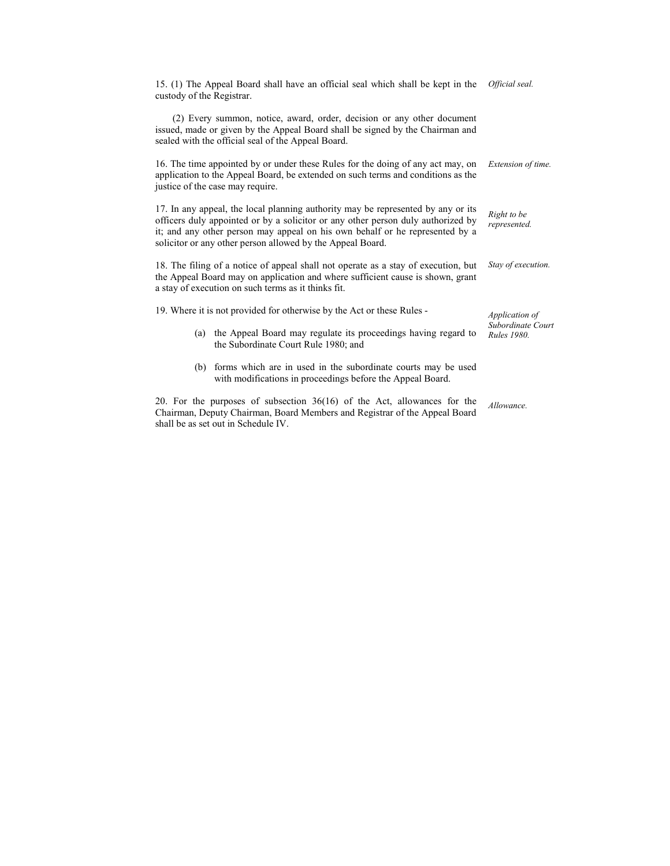| 15. (1) The Appeal Board shall have an official seal which shall be kept in the<br>custody of the Registrar.                                                                                                                                                                                                       | Official seal.                          |
|--------------------------------------------------------------------------------------------------------------------------------------------------------------------------------------------------------------------------------------------------------------------------------------------------------------------|-----------------------------------------|
| (2) Every summon, notice, award, order, decision or any other document<br>issued, made or given by the Appeal Board shall be signed by the Chairman and<br>sealed with the official seal of the Appeal Board.                                                                                                      |                                         |
| 16. The time appointed by or under these Rules for the doing of any act may, on<br>application to the Appeal Board, be extended on such terms and conditions as the<br>justice of the case may require.                                                                                                            | Extension of time.                      |
| 17. In any appeal, the local planning authority may be represented by any or its<br>officers duly appointed or by a solicitor or any other person duly authorized by<br>it; and any other person may appeal on his own behalf or he represented by a<br>solicitor or any other person allowed by the Appeal Board. | Right to be<br>represented.             |
| 18. The filing of a notice of appeal shall not operate as a stay of execution, but<br>the Appeal Board may on application and where sufficient cause is shown, grant<br>a stay of execution on such terms as it thinks fit.                                                                                        | Stay of execution.                      |
| 19. Where it is not provided for otherwise by the Act or these Rules -                                                                                                                                                                                                                                             | Application of                          |
| the Appeal Board may regulate its proceedings having regard to<br>(a)<br>the Subordinate Court Rule 1980; and                                                                                                                                                                                                      | Subordinate Court<br><b>Rules</b> 1980. |
| (b) forms which are in used in the subordinate courts may be used<br>with modifications in proceedings before the Appeal Board.                                                                                                                                                                                    |                                         |
| 20. For the purposes of subsection $36(16)$ of the Act, allowances for the<br>Chairman, Deputy Chairman, Board Members and Registrar of the Appeal Board<br>shall be as set out in Schedule IV.                                                                                                                    | Allowance.                              |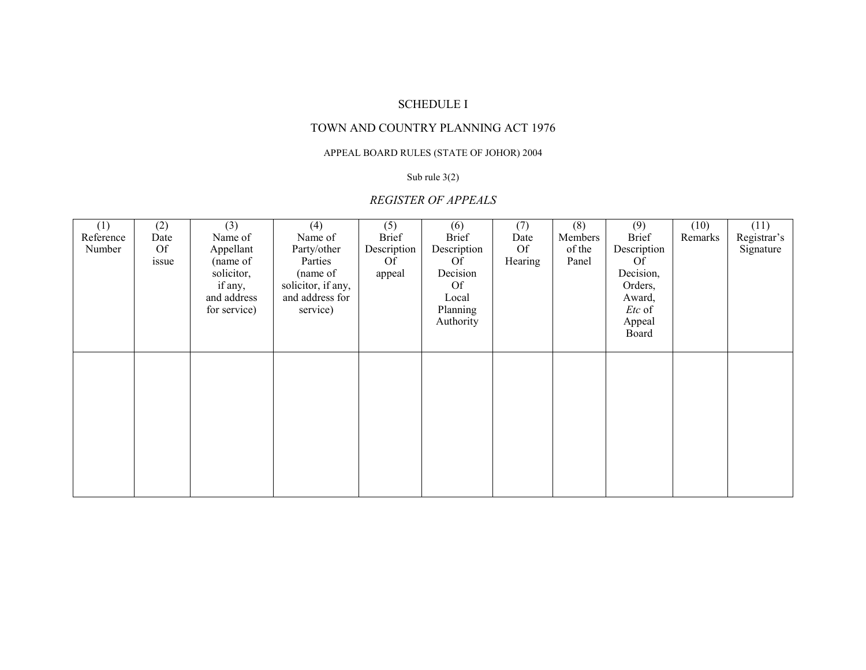# TOWN AND COUNTRY PLANNING ACT 1976

## APPEAL BOARD RULES (STATE OF JOHOR) 2004

#### Sub rule 3(2)

# *REGISTER OF APPEALS*

| (1)       | (2)       | (3)          | (4)                | (5)          | (6)          | (7)       | (8)     | (9)             | (10)    | (11)        |
|-----------|-----------|--------------|--------------------|--------------|--------------|-----------|---------|-----------------|---------|-------------|
| Reference | Date      | Name of      | Name of            | <b>Brief</b> | <b>Brief</b> | Date      | Members | <b>Brief</b>    | Remarks | Registrar's |
| Number    | <b>Of</b> | Appellant    | Party/other        | Description  | Description  | <b>Of</b> | of the  | Description     |         | Signature   |
|           | issue     | (name of     | Parties            | Of           | Of           | Hearing   | Panel   | <b>Of</b>       |         |             |
|           |           | solicitor,   | (name of           | appeal       | Decision     |           |         | Decision,       |         |             |
|           |           | if any,      | solicitor, if any, |              | <b>Of</b>    |           |         | Orders,         |         |             |
|           |           | and address  | and address for    |              | Local        |           |         | Award,          |         |             |
|           |           | for service) | service)           |              | Planning     |           |         | <i>Etc</i> of   |         |             |
|           |           |              |                    |              | Authority    |           |         | Appeal<br>Board |         |             |
|           |           |              |                    |              |              |           |         |                 |         |             |
|           |           |              |                    |              |              |           |         |                 |         |             |
|           |           |              |                    |              |              |           |         |                 |         |             |
|           |           |              |                    |              |              |           |         |                 |         |             |
|           |           |              |                    |              |              |           |         |                 |         |             |
|           |           |              |                    |              |              |           |         |                 |         |             |
|           |           |              |                    |              |              |           |         |                 |         |             |
|           |           |              |                    |              |              |           |         |                 |         |             |
|           |           |              |                    |              |              |           |         |                 |         |             |
|           |           |              |                    |              |              |           |         |                 |         |             |
|           |           |              |                    |              |              |           |         |                 |         |             |
|           |           |              |                    |              |              |           |         |                 |         |             |
|           |           |              |                    |              |              |           |         |                 |         |             |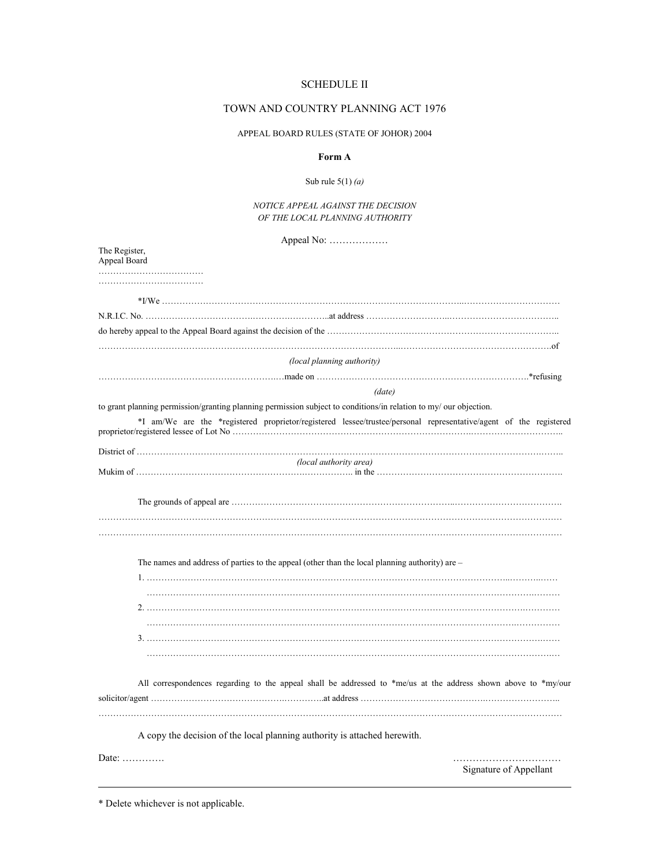## TOWN AND COUNTRY PLANNING ACT 1976

### APPEAL BOARD RULES (STATE OF JOHOR) 2004

### **Form A**

### Sub rule 5(1) *(a)*

### *NOTICE APPEAL AGAINST THE DECISION OF THE LOCAL PLANNING AUTHORITY*

Appeal No: ………………

| (local planning authority)                                                                                        |  |
|-------------------------------------------------------------------------------------------------------------------|--|
|                                                                                                                   |  |
| (date)                                                                                                            |  |
| to grant planning permission/granting planning permission subject to conditions/in relation to my/ our objection. |  |
| *I am/We are the *registered proprietor/registered lessee/trustee/personal representative/agent of the registered |  |
| (local authority area)                                                                                            |  |
|                                                                                                                   |  |
|                                                                                                                   |  |
| The names and address of parties to the appeal (other than the local planning authority) are -                    |  |
|                                                                                                                   |  |
|                                                                                                                   |  |
|                                                                                                                   |  |
|                                                                                                                   |  |
| All correspondences regarding to the appeal shall be addressed to *me/us at the address shown above to *my/our    |  |
| A copy the decision of the local planning authority is attached herewith.                                         |  |
| Date: $\dots\dots\dots\dots$<br>Signature of Appellant                                                            |  |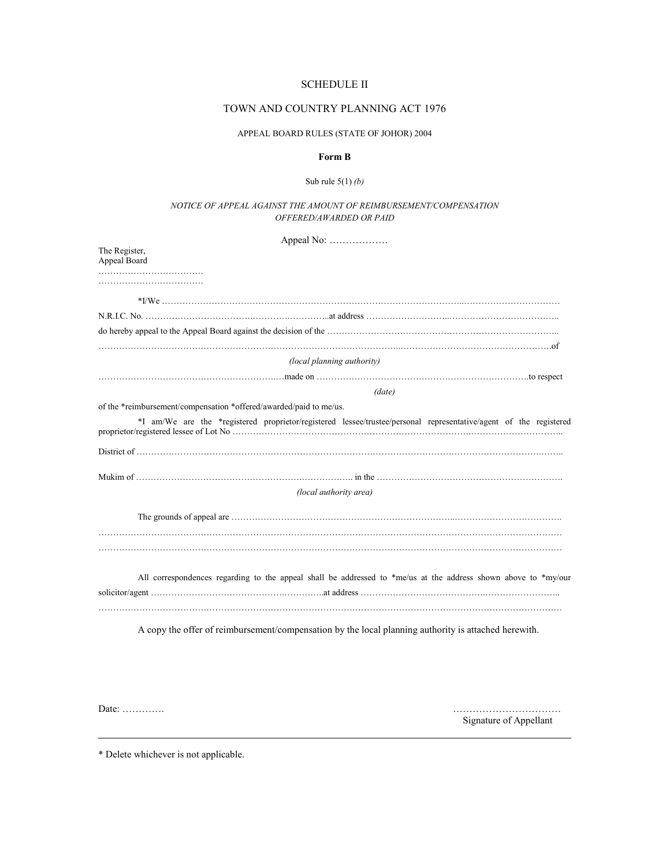## TOWN AND COUNTRY PLANNING ACT 1976

### APPEAL BOARD RULES (STATE OF JOHOR) 2004

### **Form B**

#### Sub rule 5(1) *(b)*

### *NOTICE OF APPEAL AGAINST THE AMOUNT OF REIMBURSEMENT/COMPENSATION OFFERED/AWARDED OR PAID*

Appeal No: ………………

| The Register,<br>Appeal Board                                      |                                                                                                                   |
|--------------------------------------------------------------------|-------------------------------------------------------------------------------------------------------------------|
|                                                                    |                                                                                                                   |
|                                                                    |                                                                                                                   |
|                                                                    |                                                                                                                   |
|                                                                    |                                                                                                                   |
|                                                                    |                                                                                                                   |
|                                                                    | (local planning authority)                                                                                        |
|                                                                    |                                                                                                                   |
|                                                                    | (date)                                                                                                            |
| of the *reimbursement/compensation *offered/awarded/paid to me/us. |                                                                                                                   |
|                                                                    | *I am/We are the *registered proprietor/registered lessee/trustee/personal representative/agent of the registered |
|                                                                    |                                                                                                                   |
|                                                                    |                                                                                                                   |
|                                                                    | (local authority area)                                                                                            |
|                                                                    |                                                                                                                   |
|                                                                    |                                                                                                                   |
|                                                                    | All correspondences regarding to the appeal shall be addressed to *me/us at the address shown above to *my/our    |
|                                                                    | A copy the offer of reimbursement/compensation by the local planning authority is attached herewith.              |

Date: …………. ……………………………

Signature of Appellant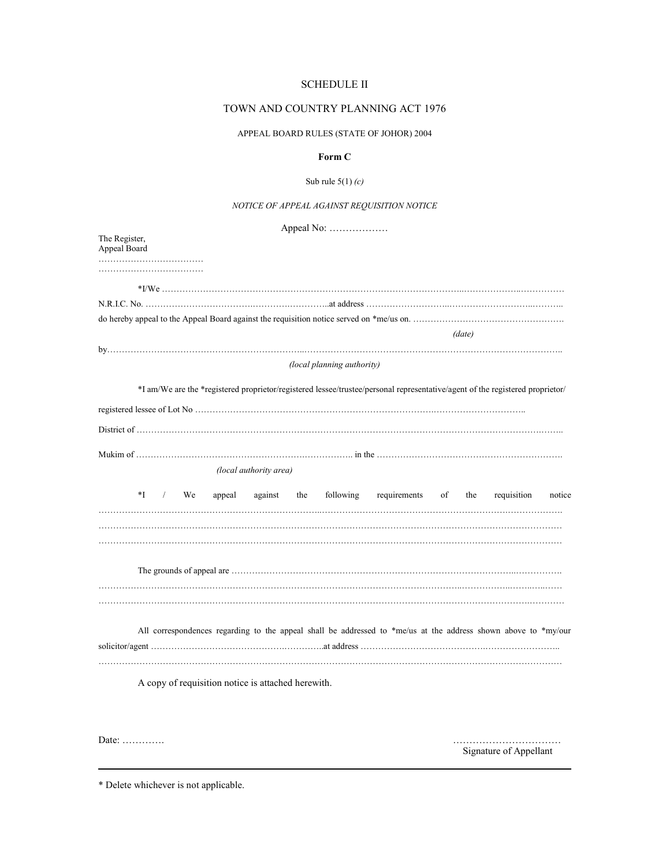## TOWN AND COUNTRY PLANNING ACT 1976

## APPEAL BOARD RULES (STATE OF JOHOR) 2004

## **Form C**

### Sub rule 5(1) *(c)*

## *NOTICE OF APPEAL AGAINST REQUISITION NOTICE*

Appeal No: ………………

| The Register,<br>Appeal Board                                                                                                 |                                                    |
|-------------------------------------------------------------------------------------------------------------------------------|----------------------------------------------------|
|                                                                                                                               |                                                    |
|                                                                                                                               |                                                    |
|                                                                                                                               |                                                    |
|                                                                                                                               |                                                    |
|                                                                                                                               | (data)                                             |
|                                                                                                                               |                                                    |
| (local planning authority)                                                                                                    |                                                    |
| *I am/We are the *registered proprietor/registered lessee/trustee/personal representative/agent of the registered proprietor/ |                                                    |
|                                                                                                                               |                                                    |
|                                                                                                                               |                                                    |
|                                                                                                                               |                                                    |
| (local authority area)                                                                                                        |                                                    |
| *I<br>$\frac{1}{2}$<br>We<br>appeal<br>against the<br>following                                                               | requirements<br>requisition<br>of<br>the<br>notice |
|                                                                                                                               |                                                    |
| All correspondences regarding to the appeal shall be addressed to *me/us at the address shown above to *my/our                |                                                    |
| A copy of requisition notice is attached herewith.                                                                            |                                                    |

Date: …………. ……………………………

Signature of Appellant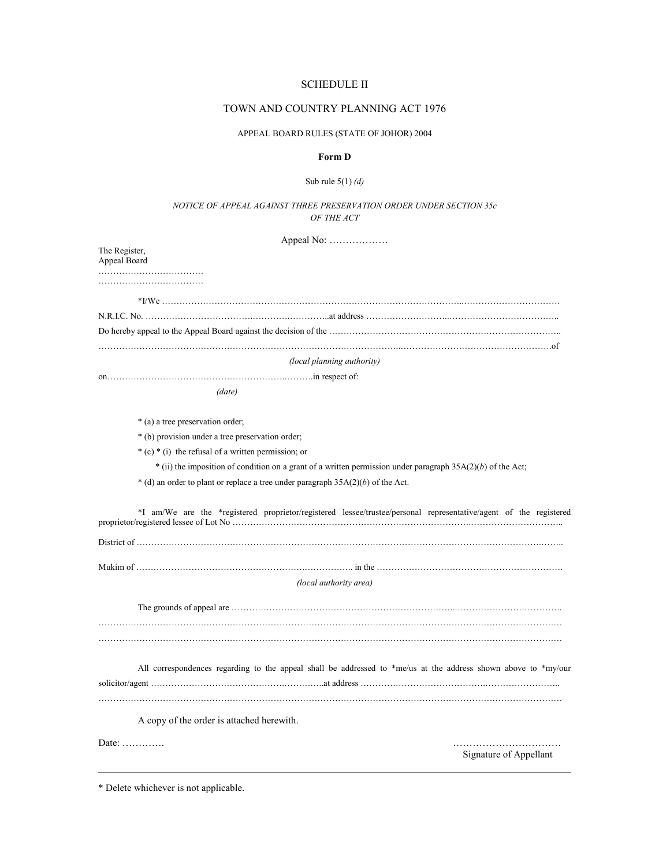### TOWN AND COUNTRY PLANNING ACT 1976

#### APPEAL BOARD RULES (STATE OF JOHOR) 2004

#### **Form D**

#### Sub rule 5(1) *(d)*

### *NOTICE OF APPEAL AGAINST THREE PRESERVATION ORDER UNDER SECTION 35c OF THE ACT*

Appeal No: ……………… The Register, Appeal Board ……………………………………… ……………………………… \*I/We …………………………………………………………………………………………..…………………………… N.R.I.C. No. ……………………………….………….…………..at address ………………………..……………………………….. Do hereby appeal to the Appeal Board against the decision of the …………………………………………………………………….. …………………………………………………………………………………………..…………………………………………….of *(local planning authority)*  on…………………………………………………….……….in respect of: *(date)*  \* (a) a tree preservation order; \* (b) provision under a tree preservation order; \* (c) \* (i) the refusal of a written permission; or \* (ii) the imposition of condition on a grant of a written permission under paragraph 35A(2)(*b*) of the Act;  $*$  (d) an order to plant or replace a tree under paragraph  $35A(2)(b)$  of the Act. \*I am/We are the \*registered proprietor/registered lessee/trustee/personal representative/agent of the registered proprietor/registered lessee of Lot No ……………………………………………………………………….………………………….. District of ………………………………………………………………………………………………………………………….…….. Mukim of ………………………………………………….…………….. in the ………………………………………………………. *(local authority area)*  The grounds of appeal are …………………………………………………………………..………………………………. …………………………………………………………………………………………………………………………………………… All correspondences regarding to the appeal shall be addressed to \*me/us at the address shown above to \*my/our solicitor/agent ……………………………………….…………..at address …………………………………….…………………….. …………………………………………………………………………………………………………………………………………… A copy of the order is attached herewith. Date: …………. …………………………… Signature of Appellant \* Delete whichever is not applicable.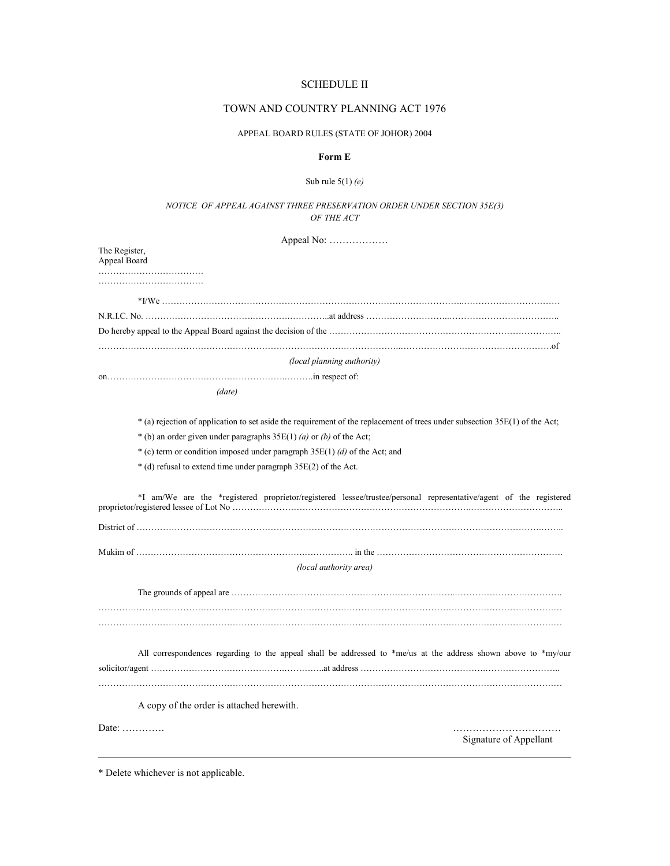## TOWN AND COUNTRY PLANNING ACT 1976

### APPEAL BOARD RULES (STATE OF JOHOR) 2004

## **Form E**

### Sub rule 5(1) *(e)*

### *NOTICE OF APPEAL AGAINST THREE PRESERVATION ORDER UNDER SECTION 35E(3) OF THE ACT*

| Appeal No:                                                                                                                  |                        |
|-----------------------------------------------------------------------------------------------------------------------------|------------------------|
| The Register,<br>Appeal Board                                                                                               |                        |
|                                                                                                                             |                        |
|                                                                                                                             |                        |
|                                                                                                                             |                        |
|                                                                                                                             |                        |
| (local planning authority)                                                                                                  |                        |
|                                                                                                                             |                        |
| (data)                                                                                                                      |                        |
| * (a) rejection of application to set aside the requirement of the replacement of trees under subsection 35E(1) of the Act; |                        |
| * (b) an order given under paragraphs $35E(1)$ (a) or (b) of the Act;                                                       |                        |
| * (c) term or condition imposed under paragraph $35E(1)$ (d) of the Act; and                                                |                        |
| * (d) refusal to extend time under paragraph 35E(2) of the Act.                                                             |                        |
| *I am/We are the *registered proprietor/registered lessee/trustee/personal representative/agent of the registered           |                        |
|                                                                                                                             |                        |
|                                                                                                                             |                        |
| (local authority area)                                                                                                      |                        |
|                                                                                                                             |                        |
|                                                                                                                             |                        |
| All correspondences regarding to the appeal shall be addressed to *me/us at the address shown above to *my/our              |                        |
|                                                                                                                             |                        |
|                                                                                                                             |                        |
| A copy of the order is attached herewith.                                                                                   |                        |
| Date: $\dots \dots \dots$                                                                                                   | Signature of Appellant |
|                                                                                                                             |                        |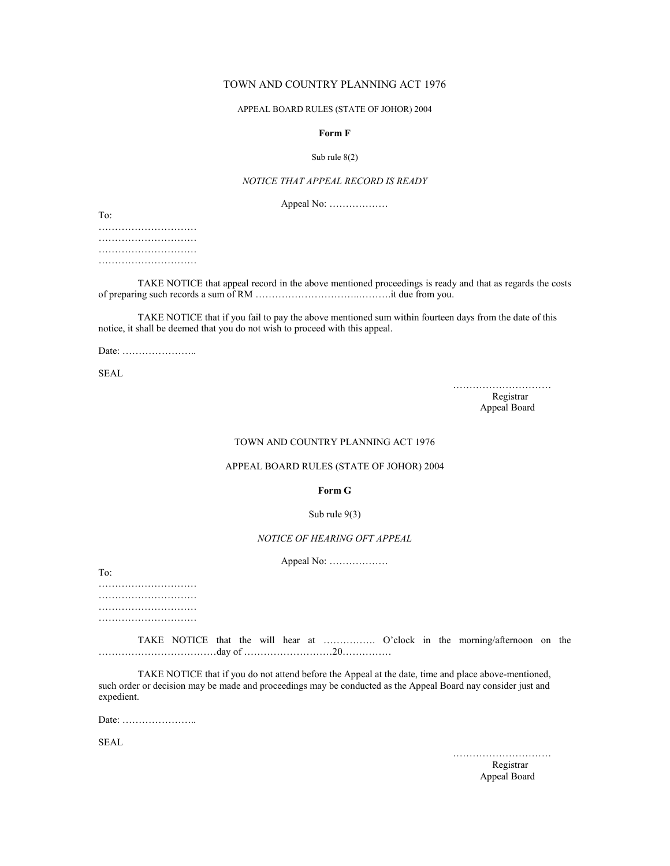## TOWN AND COUNTRY PLANNING ACT 1976

#### APPEAL BOARD RULES (STATE OF JOHOR) 2004

### **Form F**

#### Sub rule 8(2)

### *NOTICE THAT APPEAL RECORD IS READY*

Appeal No: ………………

To:

…………………………… ………………………… ………………………… …………………………

 TAKE NOTICE that appeal record in the above mentioned proceedings is ready and that as regards the costs of preparing such records a sum of RM …………………………..……….it due from you.

 TAKE NOTICE that if you fail to pay the above mentioned sum within fourteen days from the date of this notice, it shall be deemed that you do not wish to proceed with this appeal.

Date: …………………..

SEAL

 ………………………… Registrar New York 1989, 1999, 1999, 1999, 1999, 1999, 1999, 1999, 1999, 1999, 1999, 1999, 1999, 1999, 1999, 1 Appeal Board

#### TOWN AND COUNTRY PLANNING ACT 1976

### APPEAL BOARD RULES (STATE OF JOHOR) 2004

**Form G** 

#### Sub rule 9(3)

## *NOTICE OF HEARING OFT APPEAL*

Appeal No: ………………

To:

………………………… ………………………… ………………………… …………………………

 TAKE NOTICE that the will hear at ……………. O'clock in the morning/afternoon on the ………………………………day of ………………………20……………

 TAKE NOTICE that if you do not attend before the Appeal at the date, time and place above-mentioned, such order or decision may be made and proceedings may be conducted as the Appeal Board nay consider just and expedient.

Date: …………………..

**SEAL** 

………………………………

**Registrar** Registrar Appeal Board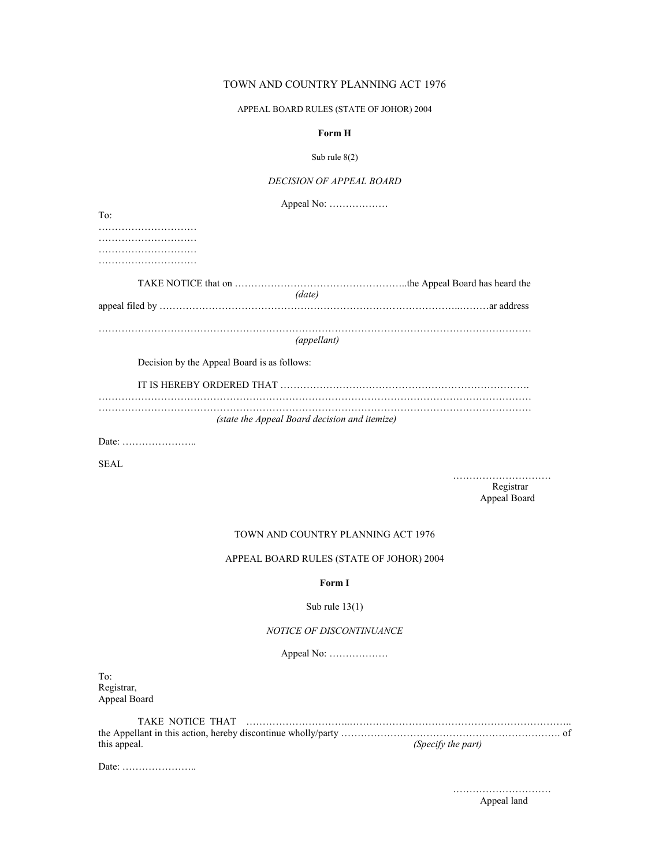## TOWN AND COUNTRY PLANNING ACT 1976

### APPEAL BOARD RULES (STATE OF JOHOR) 2004

### **Form H**

### Sub rule 8(2)

## *DECISION OF APPEAL BOARD*

|                                             | Appeal No:                                    |
|---------------------------------------------|-----------------------------------------------|
| To:                                         |                                               |
|                                             |                                               |
|                                             |                                               |
|                                             |                                               |
|                                             |                                               |
|                                             | (date)                                        |
|                                             |                                               |
|                                             | (appellant)                                   |
| Decision by the Appeal Board is as follows: |                                               |
|                                             |                                               |
|                                             | (state the Appeal Board decision and itemize) |
|                                             |                                               |

SEAL

 ………………………… **Registrar** Registrar Appeal Board

#### TOWN AND COUNTRY PLANNING ACT 1976

## APPEAL BOARD RULES (STATE OF JOHOR) 2004

### **Form I**

## Sub rule 13(1)

### *NOTICE OF DISCONTINUANCE*

Appeal No: ………………

To: Registrar, Appeal Board

| this appeal. | (Specify the part) |
|--------------|--------------------|

Date: …………………..

…………………………

Appeal land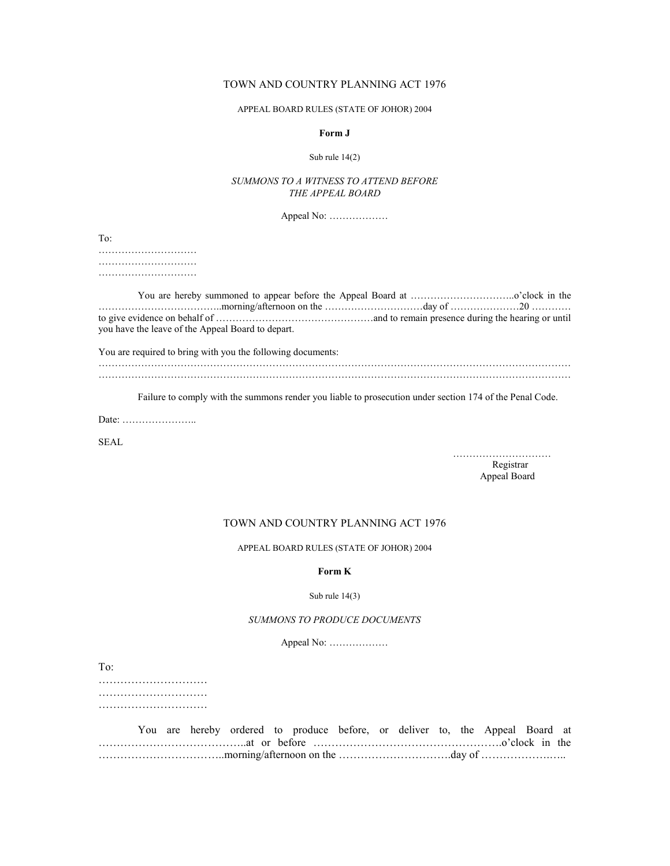## TOWN AND COUNTRY PLANNING ACT 1976

#### APPEAL BOARD RULES (STATE OF JOHOR) 2004

### **Form J**

#### Sub rule 14(2)

## *SUMMONS TO A WITNESS TO ATTEND BEFORE THE APPEAL BOARD*

Appeal No: ………………

To:

………………………… ………………………… ……………………………

| you have the leave of the Appeal Board to depart. |  |
|---------------------------------------------------|--|

You are required to bring with you the following documents:

……………………………………………………………………………………………………………………………… ………………………………………………………………………………………………………………………………

Failure to comply with the summons render you liable to prosecution under section 174 of the Penal Code.

Date: …………………..

SEAL

 ………………………… **Registrar** Registrar Appeal Board

## TOWN AND COUNTRY PLANNING ACT 1976

APPEAL BOARD RULES (STATE OF JOHOR) 2004

#### **Form K**

## Sub rule 14(3)

### *SUMMONS TO PRODUCE DOCUMENTS*

Appeal No: ………………

To:

………………………… …………………………… …………………………

|  |  |  | You are hereby ordered to produce before, or deliver to, the Appeal Board at |  |  |  |  |  |
|--|--|--|------------------------------------------------------------------------------|--|--|--|--|--|
|  |  |  |                                                                              |  |  |  |  |  |
|  |  |  |                                                                              |  |  |  |  |  |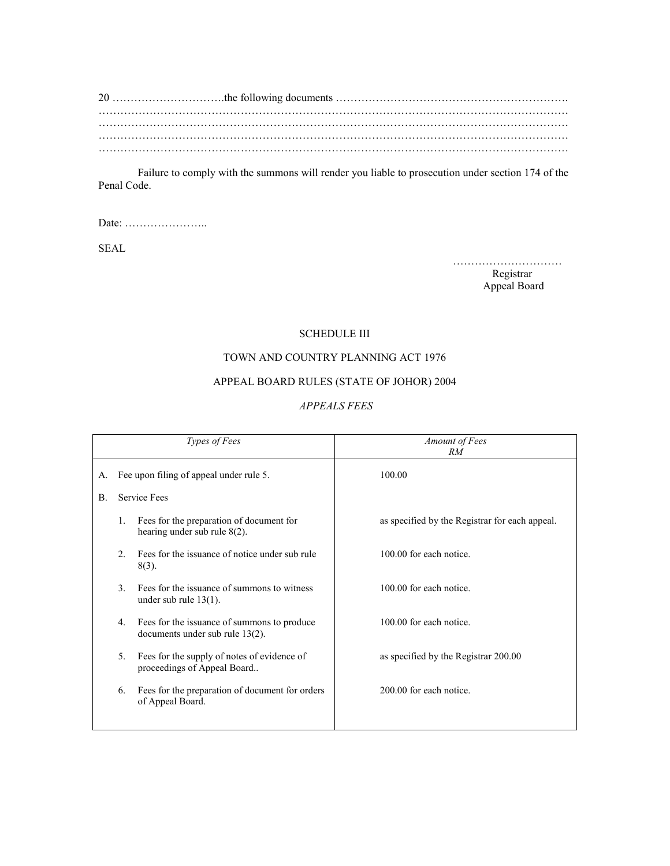Failure to comply with the summons will render you liable to prosecution under section 174 of the Penal Code.

Date: …………………..

SEAL

 ………………………… Registrar New York 2012 and 2013 and 2013 and 2013 and 2013 and 2013 and 2013 and 2013 and 2013 and 2013 and 2013 and 2013 and 2013 and 2013 and 2013 and 2013 and 2013 and 2013 and 2013 and 2013 and 2013 and 2013 and 2013 Appeal Board

## SCHEDULE III

# TOWN AND COUNTRY PLANNING ACT 1976

# APPEAL BOARD RULES (STATE OF JOHOR) 2004

## *APPEALS FEES*

|           |               | Types of Fees                                                                  | Amount of Fees<br>RM                           |
|-----------|---------------|--------------------------------------------------------------------------------|------------------------------------------------|
| А.        |               | Fee upon filing of appeal under rule 5.                                        | 100.00                                         |
| <b>B.</b> |               | <b>Service Fees</b>                                                            |                                                |
|           | 1.            | Fees for the preparation of document for<br>hearing under sub rule $8(2)$ .    | as specified by the Registrar for each appeal. |
|           | $2^{\circ}$   | Fees for the issuance of notice under sub rule<br>$8(3)$ .                     | 100.00 for each notice                         |
|           | $\mathcal{E}$ | Fees for the issuance of summons to witness<br>under sub rule $13(1)$ .        | 100.00 for each notice.                        |
|           | 4.            | Fees for the issuance of summons to produce<br>documents under sub rule 13(2). | 100.00 for each notice.                        |
|           | 5.            | Fees for the supply of notes of evidence of<br>proceedings of Appeal Board     | as specified by the Registrar 200.00           |
|           | 6.            | Fees for the preparation of document for orders<br>of Appeal Board.            | 200.00 for each notice.                        |